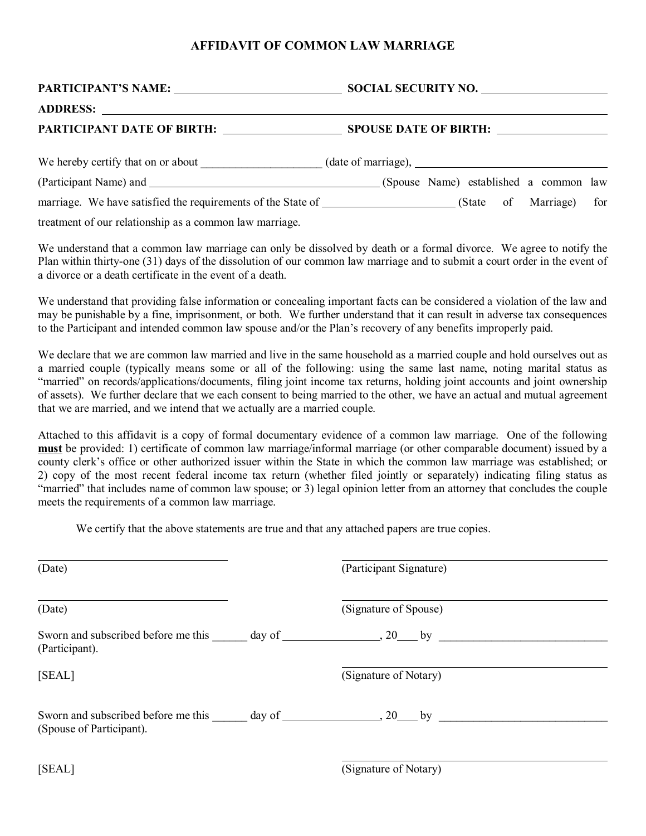## **AFFIDAVIT OF COMMON LAW MARRIAGE**

| We hereby certify that on or about (date of marriage), __________________________                        |
|----------------------------------------------------------------------------------------------------------|
|                                                                                                          |
| marriage. We have satisfied the requirements of the State of ____________________(State of Marriage) for |

treatment of our relationship as a common law marriage.

We understand that a common law marriage can only be dissolved by death or a formal divorce. We agree to notify the Plan within thirty-one (31) days of the dissolution of our common law marriage and to submit a court order in the event of a divorce or a death certificate in the event of a death.

We understand that providing false information or concealing important facts can be considered a violation of the law and may be punishable by a fine, imprisonment, or both. We further understand that it can result in adverse tax consequences to the Participant and intended common law spouse and/or the Plan's recovery of any benefits improperly paid.

We declare that we are common law married and live in the same household as a married couple and hold ourselves out as a married couple (typically means some or all of the following: using the same last name, noting marital status as "married" on records/applications/documents, filing joint income tax returns, holding joint accounts and joint ownership of assets). We further declare that we each consent to being married to the other, we have an actual and mutual agreement that we are married, and we intend that we actually are a married couple.

Attached to this affidavit is a copy of formal documentary evidence of a common law marriage. One of the following **must** be provided: 1) certificate of common law marriage/informal marriage (or other comparable document) issued by a county clerk's office or other authorized issuer within the State in which the common law marriage was established; or 2) copy of the most recent federal income tax return (whether filed jointly or separately) indicating filing status as "married" that includes name of common law spouse; or 3) legal opinion letter from an attorney that concludes the couple meets the requirements of a common law marriage.

We certify that the above statements are true and that any attached papers are true copies.

| (Date)                   | (Participant Signature) |  |
|--------------------------|-------------------------|--|
| (Date)                   | (Signature of Spouse)   |  |
| (Participant).           |                         |  |
| [SEAL]                   | (Signature of Notary)   |  |
| (Spouse of Participant). |                         |  |
| [SEAL]                   | (Signature of Notary)   |  |